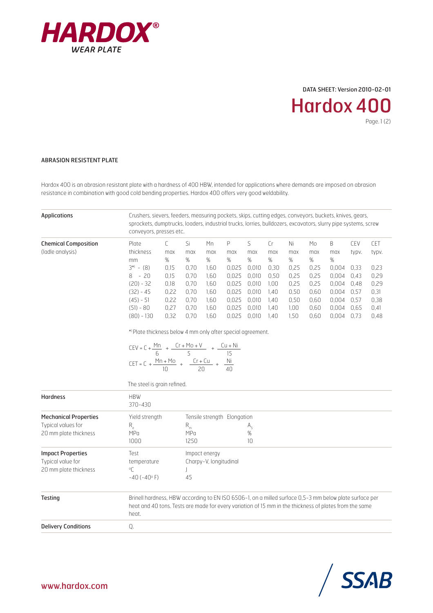

DATA SHEET: Version 2010-02-01

Hardox 400

Page. 1 (2)

## ABRASION RESISTENT PLATE

Hardox 400 is an abrasion resistant plate with a hardness of 400 HBW, intended for applications where demands are imposed on abrasion resistance in combination with good cold bending properties. Hardox 400 offers very good weldability.

| <b>Applications</b>                                                         | Crushers, sievers, feeders, measuring pockets, skips, cutting edges, conveyors, buckets, knives, gears,<br>sprockets, dumptrucks, loaders, industrial trucks, lorries, bulldozers, excavators, slurry pipe systems, screw<br>conveyors, presses etc.                                                                                                    |                                                                                  |                                                                        |                                                                           |                                                                              |                                                                                 |                                                                        |                                                                        |                                                                        |                                                                              |                                                                      |                                                                      |  |  |
|-----------------------------------------------------------------------------|---------------------------------------------------------------------------------------------------------------------------------------------------------------------------------------------------------------------------------------------------------------------------------------------------------------------------------------------------------|----------------------------------------------------------------------------------|------------------------------------------------------------------------|---------------------------------------------------------------------------|------------------------------------------------------------------------------|---------------------------------------------------------------------------------|------------------------------------------------------------------------|------------------------------------------------------------------------|------------------------------------------------------------------------|------------------------------------------------------------------------------|----------------------------------------------------------------------|----------------------------------------------------------------------|--|--|
| <b>Chemical Composition</b><br>(ladle analysis)                             | Plate<br>thickness<br>mm<br>$3^{*}- (8)$<br>$8 - 20$<br>$(20) - 32$<br>$(32) - 45$<br>$(45) - 51$<br>$(51) - 80$<br>$(80) - 130$<br>*> Plate thickness below 4 mm only after special agreement.<br>CEV = C + $\frac{Mn}{6}$ + $\frac{Cr + Mo + V}{5}$ + $\frac{Cu + Ni}{15}$<br>CET = C + $\frac{Mn + M0}{10}$ + $\frac{Cr + Cu}{20}$ + $\frac{Ni}{40}$ | $\mathsf{C}$<br>max<br>%<br>0,15<br>0,15<br>0,18<br>0,22<br>0,22<br>0,27<br>0,32 | Si<br>max<br>%<br>0,70<br>0,70<br>0,70<br>0,70<br>0,70<br>0,70<br>0,70 | Mn<br>max<br>$\%$<br>1,60<br>1,60<br>1,60<br>1,60<br>1,60<br>1,60<br>1,60 | P<br>max<br>%<br>0,025<br>0,025<br>0,025<br>0,025<br>0,025<br>0,025<br>0,025 | S<br>max<br>$\%$<br>0,010<br>0,010<br>0,010<br>0,010<br>0,010<br>0,010<br>0,010 | Cr<br>max<br>%<br>0,30<br>0,50<br>1,00<br>1,40<br>1.40<br>1,40<br>1.40 | Ni<br>max<br>%<br>0,25<br>0,25<br>0,25<br>0,50<br>0,50<br>1,00<br>1,50 | Мo<br>max<br>%<br>0,25<br>0,25<br>0,25<br>0,60<br>0,60<br>0,60<br>0,60 | B<br>max<br>%<br>0,004<br>0,004<br>0,004<br>0,004<br>0,004<br>0,004<br>0,004 | CEV<br>typv.<br>0,33<br>0,43<br>0,48<br>0,57<br>0,57<br>0,65<br>0,73 | CET<br>typv.<br>0,23<br>0,29<br>0,29<br>0,31<br>0,38<br>0,41<br>0,48 |  |  |
|                                                                             | The steel is grain refined.                                                                                                                                                                                                                                                                                                                             |                                                                                  |                                                                        |                                                                           |                                                                              |                                                                                 |                                                                        |                                                                        |                                                                        |                                                                              |                                                                      |                                                                      |  |  |
| <b>Hardness</b>                                                             | <b>HBW</b><br>$370 - 430$                                                                                                                                                                                                                                                                                                                               |                                                                                  |                                                                        |                                                                           |                                                                              |                                                                                 |                                                                        |                                                                        |                                                                        |                                                                              |                                                                      |                                                                      |  |  |
| <b>Mechanical Properties</b><br>Typical values for<br>20 mm plate thickness | Yield strength<br>$R_e$<br>MPa<br>1000                                                                                                                                                                                                                                                                                                                  |                                                                                  | $R_{m}$<br>MPa<br>1250                                                 |                                                                           | Tensile strength Elongation                                                  | $A_{5}$<br>%<br>10                                                              |                                                                        |                                                                        |                                                                        |                                                                              |                                                                      |                                                                      |  |  |
| <b>Impact Properties</b><br>Typical value for<br>20 mm plate thickness      | Test<br>temperature<br>°C<br>$-40(-40° F)$                                                                                                                                                                                                                                                                                                              |                                                                                  | J<br>45                                                                | Impact energy<br>Charpy-V, longitudinal                                   |                                                                              |                                                                                 |                                                                        |                                                                        |                                                                        |                                                                              |                                                                      |                                                                      |  |  |
| <b>Testing</b>                                                              | Brinell hardness, HBW according to EN ISO 6506-1, on a milled surface 0,5-3 mm below plate surface per<br>heat and 40 tons. Tests are made for every variation of 15 mm in the thickness of plates from the same<br>heat.                                                                                                                               |                                                                                  |                                                                        |                                                                           |                                                                              |                                                                                 |                                                                        |                                                                        |                                                                        |                                                                              |                                                                      |                                                                      |  |  |
| <b>Delivery Conditions</b>                                                  | Q.                                                                                                                                                                                                                                                                                                                                                      |                                                                                  |                                                                        |                                                                           |                                                                              |                                                                                 |                                                                        |                                                                        |                                                                        |                                                                              |                                                                      |                                                                      |  |  |